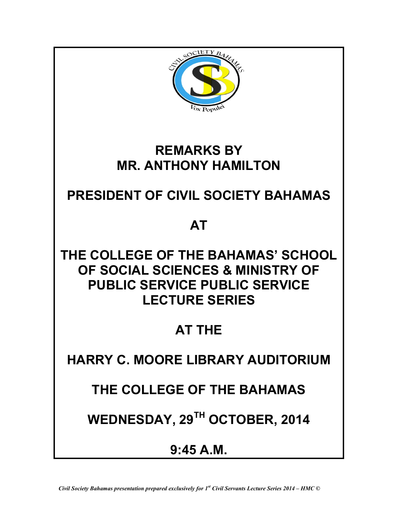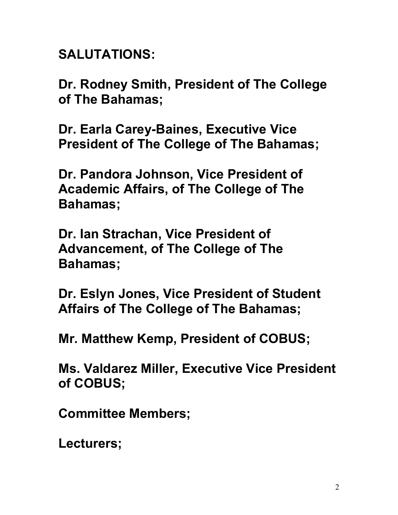**SALUTATIONS:**

**Dr. Rodney Smith, President of The College of The Bahamas;**

**Dr. Earla Carey-Baines, Executive Vice President of The College of The Bahamas;** 

**Dr. Pandora Johnson, Vice President of Academic Affairs, of The College of The Bahamas;**

**Dr. Ian Strachan, Vice President of Advancement, of The College of The Bahamas;**

**Dr. Eslyn Jones, Vice President of Student Affairs of The College of The Bahamas;**

**Mr. Matthew Kemp, President of COBUS;** 

**Ms. Valdarez Miller, Executive Vice President of COBUS;**

**Committee Members;**

**Lecturers;**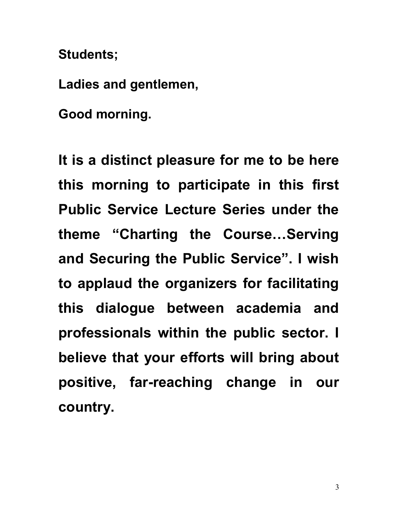**Students;**

**Ladies and gentlemen,**

**Good morning.**

**It is a distinct pleasure for me to be here this morning to participate in this first Public Service Lecture Series under the theme "Charting the Course…Serving and Securing the Public Service". I wish to applaud the organizers for facilitating this dialogue between academia and professionals within the public sector. I believe that your efforts will bring about positive, far-reaching change in our country.**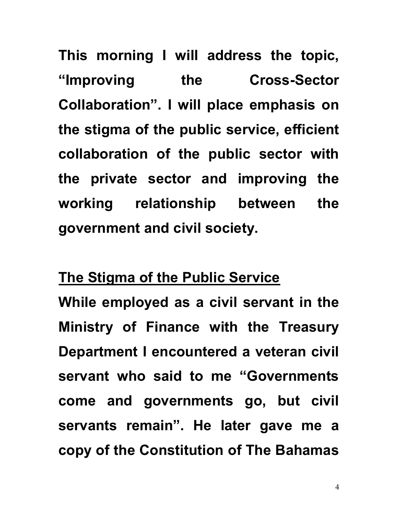**This morning I will address the topic, "Improving the Cross-Sector Collaboration". I will place emphasis on the stigma of the public service, efficient collaboration of the public sector with the private sector and improving the working relationship between the government and civil society.**

## **The Stigma of the Public Service**

**While employed as a civil servant in the Ministry of Finance with the Treasury Department I encountered a veteran civil servant who said to me "Governments come and governments go, but civil servants remain". He later gave me a copy of the Constitution of The Bahamas**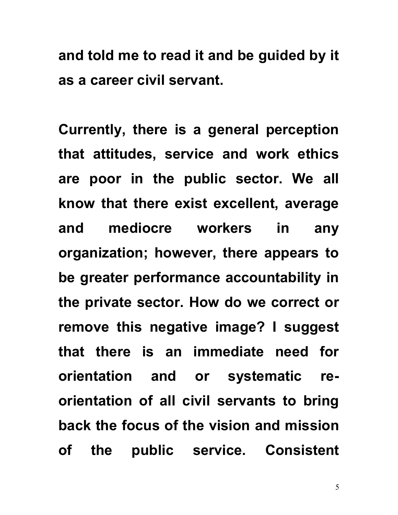**and told me to read it and be guided by it as a career civil servant.**

**Currently, there is a general perception that attitudes, service and work ethics are poor in the public sector. We all know that there exist excellent, average and mediocre workers in any organization; however, there appears to be greater performance accountability in the private sector. How do we correct or remove this negative image? I suggest that there is an immediate need for orientation and or systematic reorientation of all civil servants to bring back the focus of the vision and mission of the public service. Consistent** 

5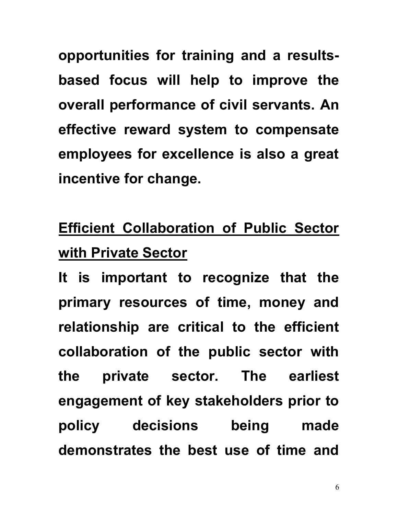**opportunities for training and a resultsbased focus will help to improve the overall performance of civil servants. An effective reward system to compensate employees for excellence is also a great incentive for change.**

## **Efficient Collaboration of Public Sector with Private Sector**

**It is important to recognize that the primary resources of time, money and relationship are critical to the efficient collaboration of the public sector with the private sector. The earliest engagement of key stakeholders prior to policy decisions being made demonstrates the best use of time and**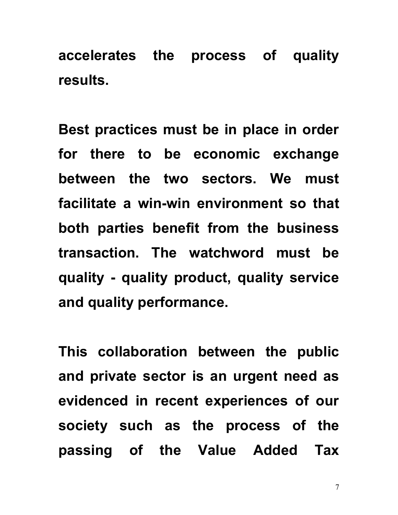**accelerates the process of quality results.**

**Best practices must be in place in order for there to be economic exchange between the two sectors. We must facilitate a win-win environment so that both parties benefit from the business transaction. The watchword must be quality - quality product, quality service and quality performance.** 

**This collaboration between the public and private sector is an urgent need as evidenced in recent experiences of our society such as the process of the passing of the Value Added Tax**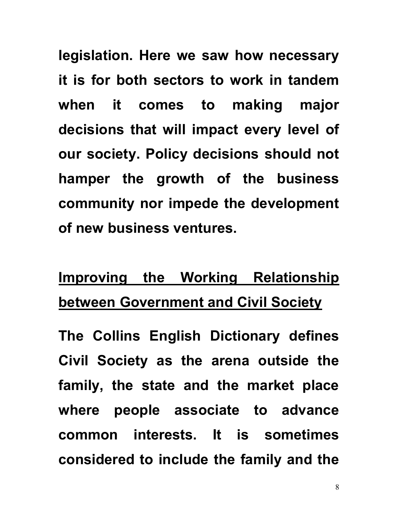**legislation. Here we saw how necessary it is for both sectors to work in tandem when it comes to making major decisions that will impact every level of our society. Policy decisions should not hamper the growth of the business community nor impede the development of new business ventures.** 

## **Improving the Working Relationship between Government and Civil Society**

**The Collins English Dictionary defines Civil Society as the arena outside the family, the state and the market place where people associate to advance common interests. It is sometimes considered to include the family and the**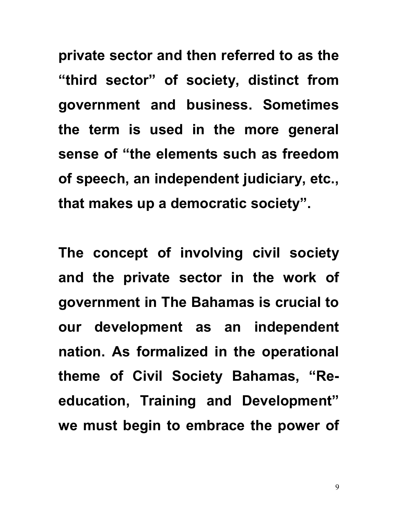**private sector and then referred to as the "third sector" of society, distinct from government and business. Sometimes the term is used in the more general sense of "the elements such as freedom of speech, an independent judiciary, etc., that makes up a democratic society".** 

**The concept of involving civil society and the private sector in the work of government in The Bahamas is crucial to our development as an independent nation. As formalized in the operational theme of Civil Society Bahamas, "Reeducation, Training and Development" we must begin to embrace the power of**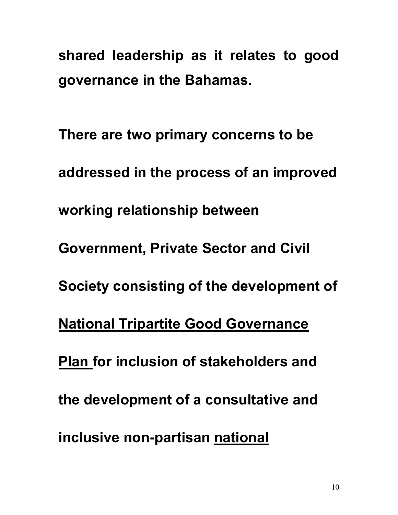**shared leadership as it relates to good governance in the Bahamas.** 

**There are two primary concerns to be addressed in the process of an improved working relationship between Government, Private Sector and Civil Society consisting of the development of National Tripartite Good Governance Plan for inclusion of stakeholders and the development of a consultative and inclusive non-partisan national**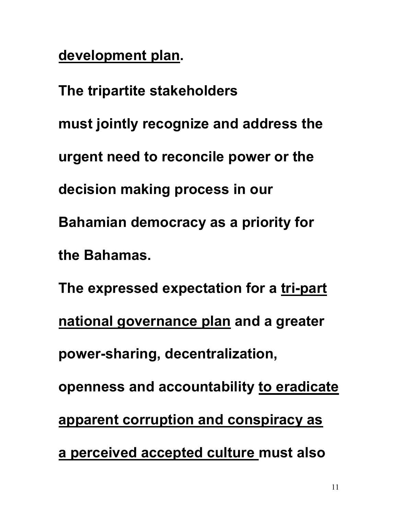**development plan.**

**The tripartite stakeholders must jointly recognize and address the urgent need to reconcile power or the decision making process in our Bahamian democracy as a priority for the Bahamas. The expressed expectation for a tri-part national governance plan and a greater power-sharing, decentralization, openness and accountability to eradicate apparent corruption and conspiracy as a perceived accepted culture must also**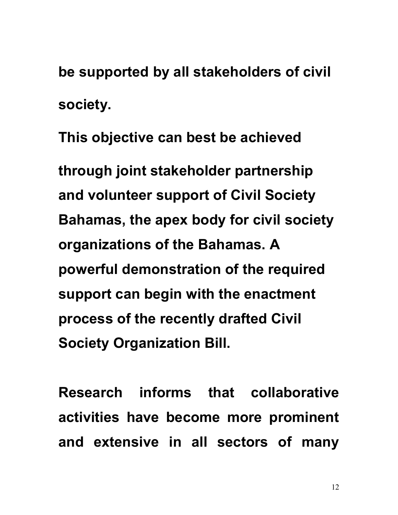**be supported by all stakeholders of civil society.**

**This objective can best be achieved through joint stakeholder partnership and volunteer support of Civil Society Bahamas, the apex body for civil society organizations of the Bahamas. A powerful demonstration of the required support can begin with the enactment process of the recently drafted Civil Society Organization Bill.** 

**Research informs that collaborative activities have become more prominent and extensive in all sectors of many**